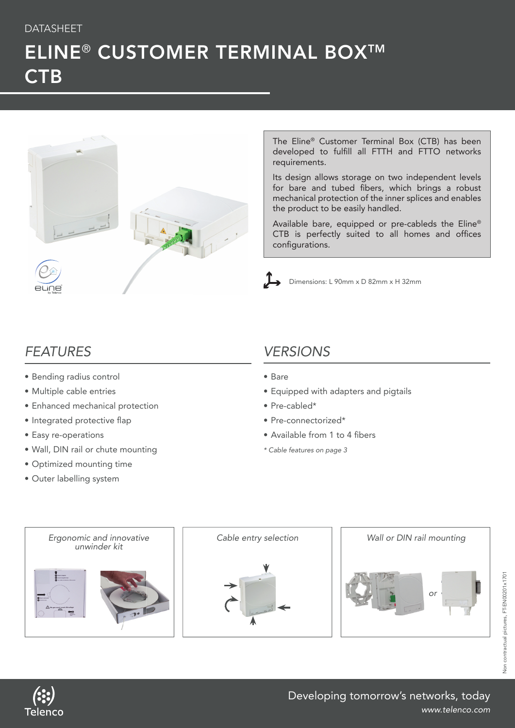### DATASHEET

# ELINE® CUSTOMER TERMINAL BOX™ **CTB**



The Eline® Customer Terminal Box (CTB) has been developed to fulfill all FTTH and FTTO networks requirements.

Its design allows storage on two independent levels for bare and tubed fibers, which brings a robust mechanical protection of the inner splices and enables the product to be easily handled.

Available bare, equipped or pre-cableds the Eline® CTB is perfectly suited to all homes and offices configurations.



Dimensions: L 90mm x D 82mm x H 32mm

### *FEATURES*

- Bending radius control
- Multiple cable entries
- Enhanced mechanical protection
- Integrated protective flap
- Easy re-operations
- Wall, DIN rail or chute mounting
- Optimized mounting time
- Outer labelling system

## *VERSIONS*

- Bare
- Equipped with adapters and pigtails
- Pre-cabled\*
- Pre-connectorized\*
- Available from 1 to 4 fibers
- *\* Cable features on page 3*



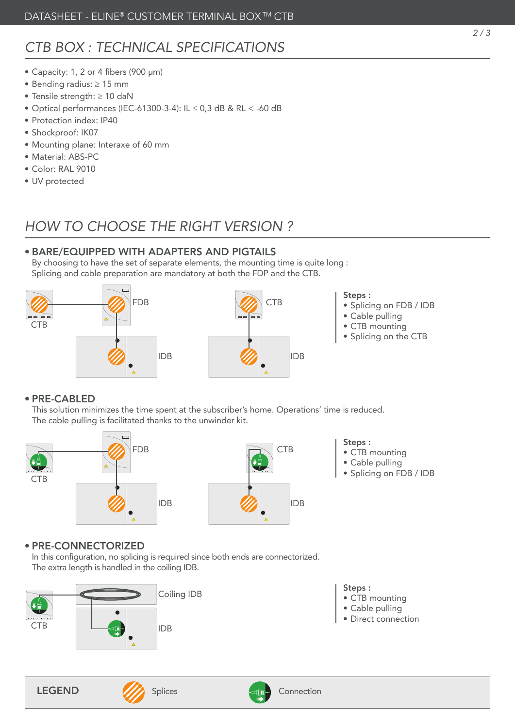# *CTB BOX : TECHNICAL SPECIFICATIONS*

- Capacity: 1, 2 or 4 fibers (900 µm)
- Bending radius: ≥ 15 mm
- Tensile strength: ≥ 10 daN
- Optical performances (IEC-61300-3-4): IL ≤ 0,3 dB & RL < -60 dB
- Protection index: IP40
- Shockproof: IK07
- Mounting plane: Interaxe of 60 mm
- Material: ABS-PC
- Color: RAL 9010
- UV protected

### *HOW TO CHOOSE THE RIGHT VERSION ?*

#### • BARE/EQUIPPED WITH ADAPTERS AND PIGTAILS

By choosing to have the set of separate elements, the mounting time is quite long : Splicing and cable preparation are mandatory at both the FDP and the CTB.





#### Steps :

- Splicing on FDB / IDB
- Cable pulling
- CTB mounting
- Splicing on the CTB

#### • PRE-CABLED

This solution minimizes the time spent at the subscriber's home. Operations' time is reduced. The cable pulling is facilitated thanks to the unwinder kit.





- Steps :
- CTB mounting
- Cable pulling
- Splicing on FDB / IDB

### • PRE-CONNECTORIZED

In this configuration, no splicing is required since both ends are connectorized. The extra length is handled in the coiling IDB.



- Steps : • CTB mounting
- Cable pulling
- Direct connection